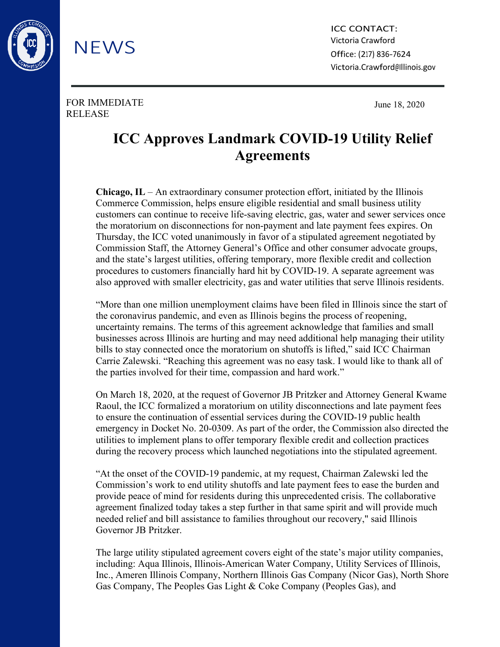

ICC CONTACT: Victoria Crawford Office: (217) 836-7624 [Victoria.Crawford@Illinois.gov](mailto:Victoria.Crawford@Illinois.gov)

FOR IMMEDIATE RELEASE

**NEWS** 

June 18, 2020

## **ICC Approves Landmark COVID-19 Utility Relief Agreements**

**Chicago, IL** – An extraordinary consumer protection effort, initiated by the Illinois Commerce Commission, helps ensure eligible residential and small business utility customers can continue to receive life-saving electric, gas, water and sewer services once the moratorium on disconnections for non-payment and late payment fees expires. On Thursday, the ICC voted unanimously in favor of a stipulated agreement negotiated by Commission Staff, the Attorney General's Office and other consumer advocate groups, and the state's largest utilities, offering temporary, more flexible credit and collection procedures to customers financially hard hit by COVID-19. A separate agreement was also approved with smaller electricity, gas and water utilities that serve Illinois residents.

"More than one million unemployment claims have been filed in Illinois since the start of the coronavirus pandemic, and even as Illinois begins the process of reopening, uncertainty remains. The terms of this agreement acknowledge that families and small businesses across Illinois are hurting and may need additional help managing their utility bills to stay connected once the moratorium on shutoffs is lifted," said ICC Chairman Carrie Zalewski. "Reaching this agreement was no easy task. I would like to thank all of the parties involved for their time, compassion and hard work."

On March 18, 2020, at the request of Governor JB Pritzker and Attorney General Kwame Raoul, the ICC formalized a moratorium on utility disconnections and late payment fees to ensure the continuation of essential services during the COVID-19 public health emergency in Docket No. 20-0309. As part of the order, the Commission also directed the utilities to implement plans to offer temporary flexible credit and collection practices during the recovery process which launched negotiations into the stipulated agreement.

"At the onset of the COVID-19 pandemic, at my request, Chairman Zalewski led the Commission's work to end utility shutoffs and late payment fees to ease the burden and provide peace of mind for residents during this unprecedented crisis. The collaborative agreement finalized today takes a step further in that same spirit and will provide much needed relief and bill assistance to families throughout our recovery," said Illinois Governor JB Pritzker.

The large utility stipulated agreement covers eight of the state's major utility companies, including: Aqua Illinois, Illinois-American Water Company, Utility Services of Illinois, Inc., Ameren Illinois Company, Northern Illinois Gas Company (Nicor Gas), North Shore Gas Company, The Peoples Gas Light & Coke Company (Peoples Gas), and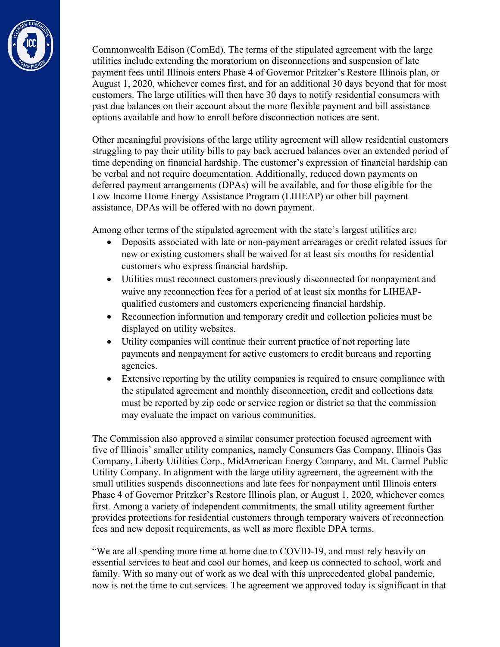

Commonwealth Edison (ComEd). The terms of the stipulated agreement with the large utilities include extending the moratorium on disconnections and suspension of late payment fees until Illinois enters Phase 4 of Governor Pritzker's Restore Illinois plan, or August 1, 2020, whichever comes first, and for an additional 30 days beyond that for most customers. The large utilities will then have 30 days to notify residential consumers with past due balances on their account about the more flexible payment and bill assistance options available and how to enroll before disconnection notices are sent.

Other meaningful provisions of the large utility agreement will allow residential customers struggling to pay their utility bills to pay back accrued balances over an extended period of time depending on financial hardship. The customer's expression of financial hardship can be verbal and not require documentation. Additionally, reduced down payments on deferred payment arrangements (DPAs) will be available, and for those eligible for the Low Income Home Energy Assistance Program (LIHEAP) or other bill payment assistance, DPAs will be offered with no down payment.

Among other terms of the stipulated agreement with the state's largest utilities are:

- Deposits associated with late or non-payment arrearages or credit related issues for new or existing customers shall be waived for at least six months for residential customers who express financial hardship.
- Utilities must reconnect customers previously disconnected for nonpayment and waive any reconnection fees for a period of at least six months for LIHEAPqualified customers and customers experiencing financial hardship.
- Reconnection information and temporary credit and collection policies must be displayed on utility websites.
- Utility companies will continue their current practice of not reporting late payments and nonpayment for active customers to credit bureaus and reporting agencies.
- Extensive reporting by the utility companies is required to ensure compliance with the stipulated agreement and monthly disconnection, credit and collections data must be reported by zip code or service region or district so that the commission may evaluate the impact on various communities.

The Commission also approved a similar consumer protection focused agreement with five of Illinois' smaller utility companies, namely Consumers Gas Company, Illinois Gas Company, Liberty Utilities Corp., MidAmerican Energy Company, and Mt. Carmel Public Utility Company. In alignment with the large utility agreement, the agreement with the small utilities suspends disconnections and late fees for nonpayment until Illinois enters Phase 4 of Governor Pritzker's Restore Illinois plan, or August 1, 2020, whichever comes first. Among a variety of independent commitments, the small utility agreement further provides protections for residential customers through temporary waivers of reconnection fees and new deposit requirements, as well as more flexible DPA terms.

"We are all spending more time at home due to COVID-19, and must rely heavily on essential services to heat and cool our homes, and keep us connected to school, work and family. With so many out of work as we deal with this unprecedented global pandemic, now is not the time to cut services. The agreement we approved today is significant in that